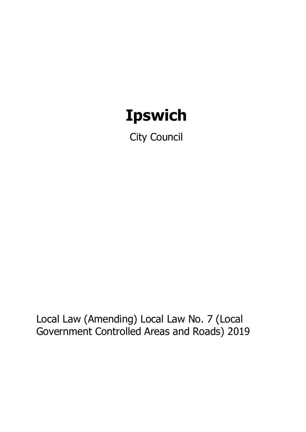# **Ipswich**

City Council

Local Law (Amending) Local Law No. 7 (Local Government Controlled Areas and Roads) 2019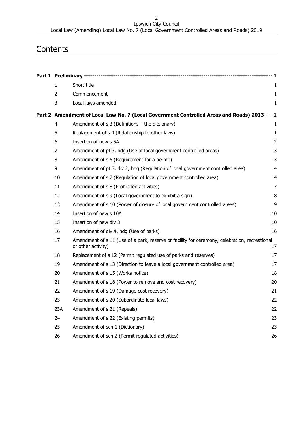Ipswich City Council Local Law (Amending) Local Law No. 7 (Local Government Controlled Areas and Roads) 2019

# **Contents**

|    | $\mathbf{1}$ | Short title                                                                                                         | 1              |  |  |
|----|--------------|---------------------------------------------------------------------------------------------------------------------|----------------|--|--|
|    | 2            | Commencement                                                                                                        | $\mathbf{1}$   |  |  |
|    | 3            | Local laws amended                                                                                                  | $\mathbf{1}$   |  |  |
|    |              | Part 2 Amendment of Local Law No. 7 (Local Government Controlled Areas and Roads) 2013---- 1                        |                |  |  |
|    | 4            | Amendment of s 3 (Definitions - the dictionary)                                                                     | 1              |  |  |
|    | 5            | Replacement of s 4 (Relationship to other laws)                                                                     | 1              |  |  |
|    | 6            | Insertion of new s 5A                                                                                               | $\overline{2}$ |  |  |
|    | 7            | Amendment of pt 3, hdg (Use of local government controlled areas)                                                   | 3              |  |  |
|    | 8            | Amendment of s 6 (Requirement for a permit)                                                                         | 3              |  |  |
|    | 9            | Amendment of pt 3, div 2, hdg (Regulation of local government controlled area)                                      | 4              |  |  |
|    | 10           | Amendment of s 7 (Regulation of local government controlled area)                                                   | 4              |  |  |
|    | 11           | Amendment of s 8 (Prohibited activities)                                                                            | $\overline{7}$ |  |  |
|    | 12           | Amendment of s 9 (Local government to exhibit a sign)                                                               | 8              |  |  |
|    | 13           | Amendment of s 10 (Power of closure of local government controlled areas)                                           | 9              |  |  |
|    | 14           | Insertion of new s 10A                                                                                              | 10             |  |  |
|    | 15           | Insertion of new div 3                                                                                              | 10             |  |  |
|    | 16           | Amendment of div 4, hdg (Use of parks)                                                                              | 16             |  |  |
| 17 |              | Amendment of s 11 (Use of a park, reserve or facility for ceremony, celebration, recreational<br>or other activity) | 17             |  |  |
|    | 18           | Replacement of s 12 (Permit regulated use of parks and reserves)                                                    | 17             |  |  |
|    | 19           | Amendment of s 13 (Direction to leave a local government controlled area)                                           | 17             |  |  |
|    | 20           | Amendment of s 15 (Works notice)                                                                                    | 18             |  |  |
|    | 21           | Amendment of s 18 (Power to remove and cost recovery)                                                               | 20             |  |  |
|    | 22           | Amendment of s 19 (Damage cost recovery)                                                                            | 21             |  |  |
|    | 23           | Amendment of s 20 (Subordinate local laws)                                                                          | 22             |  |  |
|    | 23A          | Amendment of s 21 (Repeals)                                                                                         | 22             |  |  |
|    | 24           | Amendment of s 22 (Existing permits)                                                                                | 23             |  |  |
|    | 25           | Amendment of sch 1 (Dictionary)                                                                                     | 23             |  |  |
|    | 26           | Amendment of sch 2 (Permit regulated activities)                                                                    | 26             |  |  |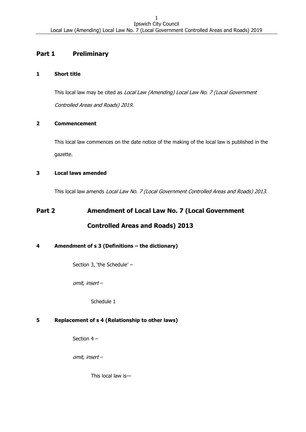# <span id="page-2-0"></span>**Part 1 Preliminary**

# <span id="page-2-1"></span>**1 Short title**

This local law may be cited as Local Law (Amending) Local Law No. 7 (Local Government Controlled Areas and Roads) 2019.

# <span id="page-2-2"></span>**2 Commencement**

This local law commences on the date notice of the making of the local law is published in the gazette.

# <span id="page-2-3"></span>**3 Local laws amended**

This local law amends Local Law No. 7 (Local Government Controlled Areas and Roads) 2013.

# <span id="page-2-4"></span>**Part 2 Amendment of Local Law No. 7 (Local Government Controlled Areas and Roads) 2013**

# <span id="page-2-5"></span>**4 Amendment of s 3 (Definitions – the dictionary)**

Section 3, 'the Schedule' –

omit, insert –

Schedule 1

# <span id="page-2-6"></span>**5 Replacement of s 4 (Relationship to other laws)**

Section 4 –

omit, insert –

This local law is—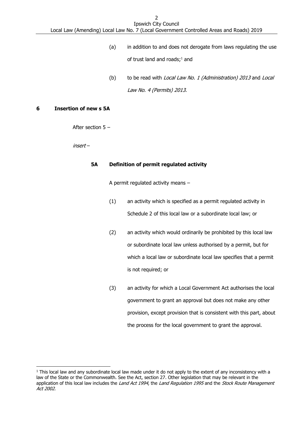- (a) in addition to and does not derogate from laws regulating the use of trust land and roads;<sup>1</sup> and
- (b) to be read with Local Law No. 1 (Administration) 2013 and Local Law No. 4 (Permits) 2013.

#### <span id="page-3-0"></span>**6 Insertion of new s 5A**

-

After section 5 –

insert –

#### **5A Definition of permit regulated activity**

A permit regulated activity means –

- (1) an activity which is specified as a permit regulated activity in Schedule 2 of this local law or a subordinate local law; or
- (2) an activity which would ordinarily be prohibited by this local law or subordinate local law unless authorised by a permit, but for which a local law or subordinate local law specifies that a permit is not required; or
- (3) an activity for which a Local Government Act authorises the local government to grant an approval but does not make any other provision, except provision that is consistent with this part, about the process for the local government to grant the approval.

 $1$  This local law and any subordinate local law made under it do not apply to the extent of any inconsistency with a law of the State or the Commonwealth. See the Act, section 27. Other legislation that may be relevant in the application of this local law includes the Land Act 1994, the Land Regulation 1995 and the Stock Route Management Act 2002.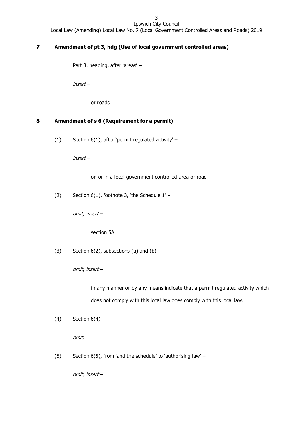# <span id="page-4-0"></span>**7 Amendment of pt 3, hdg (Use of local government controlled areas)**

Part 3, heading, after 'areas' –

insert –

or roads

#### <span id="page-4-1"></span>**8 Amendment of s 6 (Requirement for a permit)**

(1) Section 6(1), after 'permit regulated activity' –

insert –

on or in a local government controlled area or road

(2) Section  $6(1)$ , footnote 3, 'the Schedule  $1'$  –

omit, insert –

section 5A

(3) Section 6(2), subsections (a) and (b)  $-$ 

omit, insert –

in any manner or by any means indicate that a permit regulated activity which does not comply with this local law does comply with this local law.

(4) Section  $6(4)$  –

omit.

(5) Section 6(5), from 'and the schedule' to 'authorising law' –

omit, insert –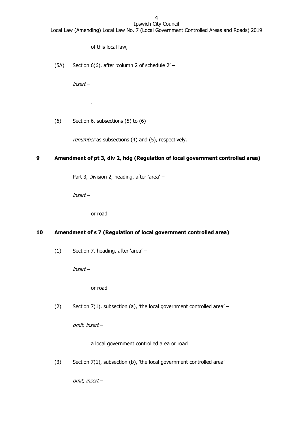of this local law,

(5A) Section 6(6), after 'column 2 of schedule 2' –

insert –

.

(6) Section 6, subsections  $(5)$  to  $(6)$  –

renumber as subsections (4) and (5), respectively.

#### <span id="page-5-0"></span>**9 Amendment of pt 3, div 2, hdg (Regulation of local government controlled area)**

Part 3, Division 2, heading, after 'area' –

insert –

or road

# <span id="page-5-1"></span>**10 Amendment of s 7 (Regulation of local government controlled area)**

(1) Section 7, heading, after 'area' –

insert –

or road

(2) Section 7(1), subsection (a), 'the local government controlled area' –

omit, insert –

a local government controlled area or road

(3) Section 7(1), subsection (b), 'the local government controlled area' –

omit, insert –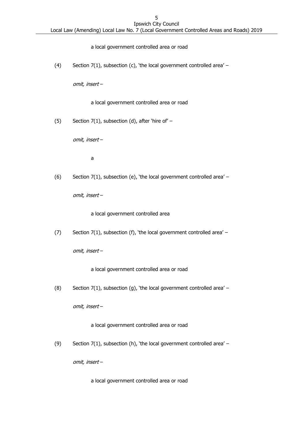#### a local government controlled area or road

(4) Section 7(1), subsection (c), 'the local government controlled area' –

omit, insert –

a local government controlled area or road

(5) Section 7(1), subsection (d), after 'hire of'  $-$ 

omit, insert –

a

(6) Section 7(1), subsection (e), 'the local government controlled area' –

omit, insert –

a local government controlled area

(7) Section 7(1), subsection (f), 'the local government controlled area' –

omit, insert –

a local government controlled area or road

(8) Section 7(1), subsection (g), 'the local government controlled area' –

omit, insert –

a local government controlled area or road

(9) Section 7(1), subsection (h), 'the local government controlled area' –

omit, insert –

a local government controlled area or road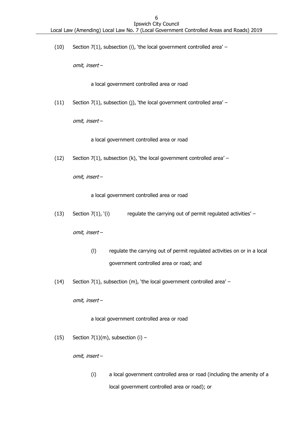(10) Section 7(1), subsection (i), 'the local government controlled area' –

omit, insert –

a local government controlled area or road

(11) Section 7(1), subsection (j), 'the local government controlled area' –

omit, insert –

a local government controlled area or road

(12) Section 7(1), subsection (k), 'the local government controlled area' –

omit, insert –

a local government controlled area or road

(13) Section  $7(1)$ , '(i) regulate the carrying out of permit regulated activities' –

omit, insert –

- (l) regulate the carrying out of permit regulated activities on or in a local government controlled area or road; and
- (14) Section 7(1), subsection (m), 'the local government controlled area' –

omit, insert –

a local government controlled area or road

(15) Section  $7(1)(m)$ , subsection (i) -

omit, insert –

(i) a local government controlled area or road (including the amenity of a local government controlled area or road); or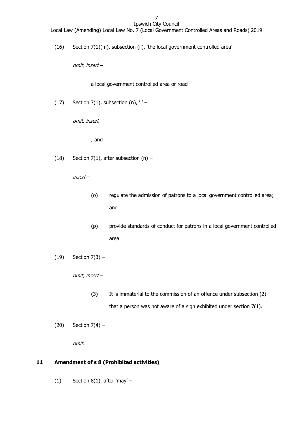(16) Section  $7(1)(m)$ , subsection (ii), 'the local government controlled area' –

omit, insert –

a local government controlled area or road

(17) Section 7(1), subsection  $(n)$ ,  $\cdot$  ' -

omit, insert –

; and

(18) Section 7(1), after subsection (n)  $-$ 

insert –

- (o) regulate the admission of patrons to a local government controlled area; and
- (p) provide standards of conduct for patrons in a local government controlled area.
- (19) Section 7(3) –

omit, insert –

- (3) It is immaterial to the commission of an offence under subsection (2) that a person was not aware of a sign exhibited under section 7(1).
- (20) Section  $7(4)$  –

omit.

# <span id="page-8-0"></span>**11 Amendment of s 8 (Prohibited activities)**

(1) Section  $8(1)$ , after 'may' –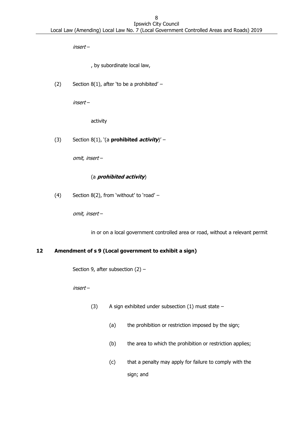insert –

, by subordinate local law,

(2) Section 8(1), after 'to be a prohibited'  $-$ 

insert –

activity

(3) Section 8(1), '(a **prohibited activity**)' –

omit, insert –

#### (a **prohibited activity**)

(4) Section 8(2), from 'without' to 'road' –

omit, insert –

in or on a local government controlled area or road, without a relevant permit

#### <span id="page-9-0"></span>**12 Amendment of s 9 (Local government to exhibit a sign)**

Section 9, after subsection (2) –

insert –

- (3) A sign exhibited under subsection (1) must state
	- (a) the prohibition or restriction imposed by the sign;
	- (b) the area to which the prohibition or restriction applies;
	- (c) that a penalty may apply for failure to comply with the sign; and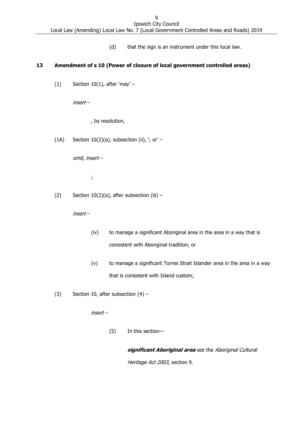(d) that the sign is an instrument under this local law.

### <span id="page-10-0"></span>**13 Amendment of s 10 (Power of closure of local government controlled areas)**

(1) Section  $10(1)$ , after 'may' -

insert –

, by resolution,

(1A) Section  $10(2)(a)$ , subsection (ii), '; or' -

omit, insert –

;

(2) Section  $10(2)(a)$ , after subsection (iii) –

insert –

- (iv) to manage a significant Aboriginal area in the area in a way that is consistent with Aboriginal tradition; or
- (v) to manage a significant Torres Strait Islander area in the area in a way that is consistent with Island custom;
- (3) Section 10, after subsection  $(4)$  –

insert –

(5) In this section—

**significant Aboriginal area** see the Aboriginal Cultural Heritage Act 2003, section 9.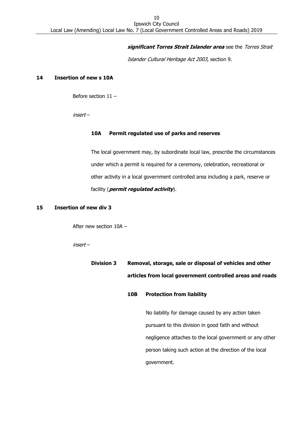#### **significant Torres Strait Islander area** see the Torres Strait

Islander Cultural Heritage Act 2003, section 9.

#### <span id="page-11-0"></span>**14 Insertion of new s 10A**

Before section 11 –

insert –

#### **10A Permit regulated use of parks and reserves**

The local government may, by subordinate local law, prescribe the circumstances under which a permit is required for a ceremony, celebration, recreational or other activity in a local government controlled area including a park, reserve or facility (**permit regulated activity**).

#### <span id="page-11-1"></span>**15 Insertion of new div 3**

After new section 10A –

insert –

**Division 3 Removal, storage, sale or disposal of vehicles and other articles from local government controlled areas and roads**

#### **10B Protection from liability**

No liability for damage caused by any action taken pursuant to this division in good faith and without negligence attaches to the local government or any other person taking such action at the direction of the local government.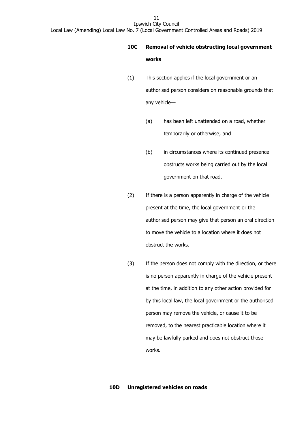# **10C Removal of vehicle obstructing local government works**

- (1) This section applies if the local government or an authorised person considers on reasonable grounds that any vehicle—
	- (a) has been left unattended on a road, whether temporarily or otherwise; and
	- (b) in circumstances where its continued presence obstructs works being carried out by the local government on that road.
- (2) If there is a person apparently in charge of the vehicle present at the time, the local government or the authorised person may give that person an oral direction to move the vehicle to a location where it does not obstruct the works.
- (3) If the person does not comply with the direction, or there is no person apparently in charge of the vehicle present at the time, in addition to any other action provided for by this local law, the local government or the authorised person may remove the vehicle, or cause it to be removed, to the nearest practicable location where it may be lawfully parked and does not obstruct those works.

#### **10D Unregistered vehicles on roads**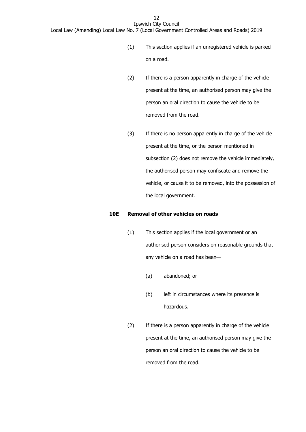- (1) This section applies if an unregistered vehicle is parked on a road.
- (2) If there is a person apparently in charge of the vehicle present at the time, an authorised person may give the person an oral direction to cause the vehicle to be removed from the road.
- (3) If there is no person apparently in charge of the vehicle present at the time, or the person mentioned in subsection (2) does not remove the vehicle immediately, the authorised person may confiscate and remove the vehicle, or cause it to be removed, into the possession of the local government.

#### **10E Removal of other vehicles on roads**

- (1) This section applies if the local government or an authorised person considers on reasonable grounds that any vehicle on a road has been—
	- (a) abandoned; or
	- (b) left in circumstances where its presence is hazardous.
- (2) If there is a person apparently in charge of the vehicle present at the time, an authorised person may give the person an oral direction to cause the vehicle to be removed from the road.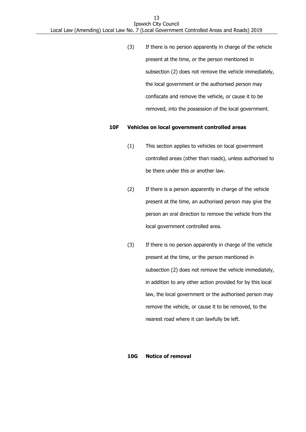(3) If there is no person apparently in charge of the vehicle present at the time, or the person mentioned in subsection (2) does not remove the vehicle immediately, the local government or the authorised person may confiscate and remove the vehicle, or cause it to be removed, into the possession of the local government.

#### **10F Vehicles on local government controlled areas**

- (1) This section applies to vehicles on local government controlled areas (other than roads), unless authorised to be there under this or another law.
- (2) If there is a person apparently in charge of the vehicle present at the time, an authorised person may give the person an oral direction to remove the vehicle from the local government controlled area.
- (3) If there is no person apparently in charge of the vehicle present at the time, or the person mentioned in subsection (2) does not remove the vehicle immediately, in addition to any other action provided for by this local law, the local government or the authorised person may remove the vehicle, or cause it to be removed, to the nearest road where it can lawfully be left.

#### **10G Notice of removal**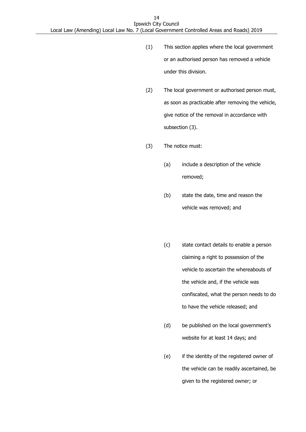- (1) This section applies where the local government or an authorised person has removed a vehicle under this division.
- (2) The local government or authorised person must, as soon as practicable after removing the vehicle, give notice of the removal in accordance with subsection (3).
- (3) The notice must:
	- (a) include a description of the vehicle removed;
	- (b) state the date, time and reason the vehicle was removed; and
	- (c) state contact details to enable a person claiming a right to possession of the vehicle to ascertain the whereabouts of the vehicle and, if the vehicle was confiscated, what the person needs to do to have the vehicle released; and
	- (d) be published on the local government's website for at least 14 days; and
	- (e) if the identity of the registered owner of the vehicle can be readily ascertained, be given to the registered owner; or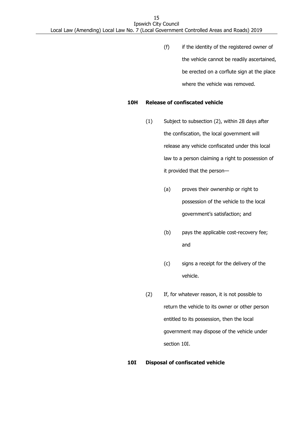(f) if the identity of the registered owner of the vehicle cannot be readily ascertained, be erected on a corflute sign at the place where the vehicle was removed.

#### **10H Release of confiscated vehicle**

- (1) Subject to subsection (2), within 28 days after the confiscation, the local government will release any vehicle confiscated under this local law to a person claiming a right to possession of it provided that the person—
	- (a) proves their ownership or right to possession of the vehicle to the local government's satisfaction; and
	- (b) pays the applicable cost-recovery fee; and
	- (c) signs a receipt for the delivery of the vehicle.
- (2) If, for whatever reason, it is not possible to return the vehicle to its owner or other person entitled to its possession, then the local government may dispose of the vehicle under section 10I.

#### **10I Disposal of confiscated vehicle**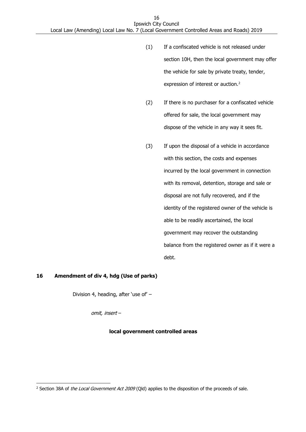- (1) If a confiscated vehicle is not released under section 10H, then the local government may offer the vehicle for sale by private treaty, tender, expression of interest or auction.<sup>2</sup>
- (2) If there is no purchaser for a confiscated vehicle offered for sale, the local government may dispose of the vehicle in any way it sees fit.
- (3) If upon the disposal of a vehicle in accordance with this section, the costs and expenses incurred by the local government in connection with its removal, detention, storage and sale or disposal are not fully recovered, and if the identity of the registered owner of the vehicle is able to be readily ascertained, the local government may recover the outstanding balance from the registered owner as if it were a debt.

#### <span id="page-17-0"></span>**16 Amendment of div 4, hdg (Use of parks)**

-

Division 4, heading, after 'use of' –

omit, insert –

#### **local government controlled areas**

<sup>&</sup>lt;sup>2</sup> Section 38A of the Local Government Act 2009 (Qld) applies to the disposition of the proceeds of sale.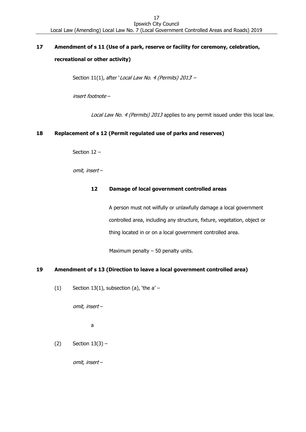# <span id="page-18-0"></span>**17 Amendment of s 11 (Use of a park, reserve or facility for ceremony, celebration, recreational or other activity)**

Section 11(1), after 'Local Law No. 4 (Permits) 2013 -

insert footnote –

Local Law No. 4 (Permits) 2013 applies to any permit issued under this local law.

#### <span id="page-18-1"></span>**18 Replacement of s 12 (Permit regulated use of parks and reserves)**

Section 12 –

omit, insert –

#### **12 Damage of local government controlled areas**

A person must not wilfully or unlawfully damage a local government controlled area, including any structure, fixture, vegetation, object or thing located in or on a local government controlled area.

Maximum penalty  $-50$  penalty units.

#### <span id="page-18-2"></span>**19 Amendment of s 13 (Direction to leave a local government controlled area)**

(1) Section 13(1), subsection (a), 'the  $a'$  –

omit, insert –

a

 $(2)$  Section  $13(3)$  –

omit, insert –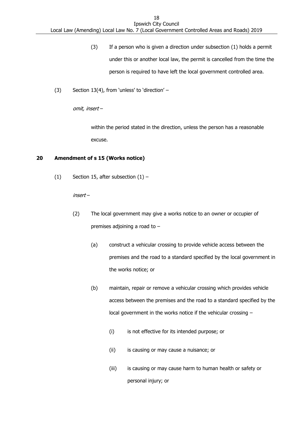- (3) If a person who is given a direction under subsection (1) holds a permit under this or another local law, the permit is cancelled from the time the person is required to have left the local government controlled area.
- (3) Section 13(4), from 'unless' to 'direction' –

omit, insert –

within the period stated in the direction, unless the person has a reasonable excuse.

#### <span id="page-19-0"></span>**20 Amendment of s 15 (Works notice)**

(1) Section 15, after subsection  $(1)$  –

insert –

- (2) The local government may give a works notice to an owner or occupier of premises adjoining a road to –
	- (a) construct a vehicular crossing to provide vehicle access between the premises and the road to a standard specified by the local government in the works notice; or
	- (b) maintain, repair or remove a vehicular crossing which provides vehicle access between the premises and the road to a standard specified by the local government in the works notice if the vehicular crossing –
		- (i) is not effective for its intended purpose; or
		- (ii) is causing or may cause a nuisance; or
		- (iii) is causing or may cause harm to human health or safety or personal injury; or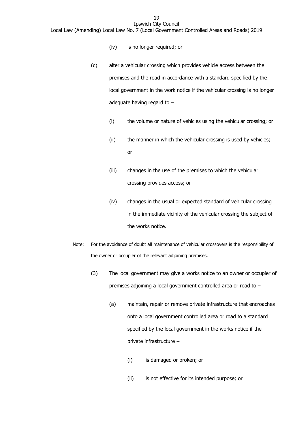- (iv) is no longer required; or
- (c) alter a vehicular crossing which provides vehicle access between the premises and the road in accordance with a standard specified by the local government in the work notice if the vehicular crossing is no longer adequate having regard to –
	- (i) the volume or nature of vehicles using the vehicular crossing; or
	- (ii) the manner in which the vehicular crossing is used by vehicles; or
	- (iii) changes in the use of the premises to which the vehicular crossing provides access; or
	- (iv) changes in the usual or expected standard of vehicular crossing in the immediate vicinity of the vehicular crossing the subject of the works notice.
- Note: For the avoidance of doubt all maintenance of vehicular crossovers is the responsibility of the owner or occupier of the relevant adjoining premises.
	- (3) The local government may give a works notice to an owner or occupier of premises adjoining a local government controlled area or road to –
		- (a) maintain, repair or remove private infrastructure that encroaches onto a local government controlled area or road to a standard specified by the local government in the works notice if the private infrastructure –
			- (i) is damaged or broken; or
			- (ii) is not effective for its intended purpose; or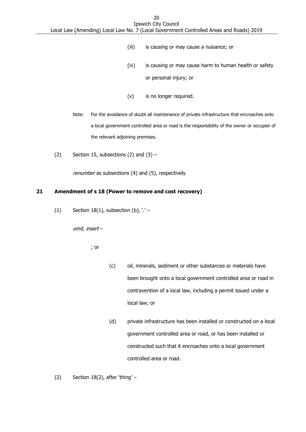- (iii) is causing or may cause a nuisance; or
- (iv) is causing or may cause harm to human health or safety or personal injury; or
- (v) is no longer required.
- Note: For the avoidance of doubt all maintenance of private infrastructure that encroaches onto a local government controlled area or road is the responsibility of the owner or occupier of the relevant adjoining premises.
- (2) Section 15, subsections (2) and  $(3)$  –

renumber as subsections (4) and (5), respectively

#### <span id="page-21-0"></span>**21 Amendment of s 18 (Power to remove and cost recovery)**

(1) Section  $18(1)$ , subsection (b),  $\cdot$  ' -

omit, insert –

; or

- (c) oil, minerals, sediment or other substances or materials have been brought onto a local government controlled area or road in contravention of a local law, including a permit issued under a local law; or
- (d) private infrastructure has been installed or constructed on a local government controlled area or road, or has been installed or constructed such that it encroaches onto a local government controlled area or road.

(2) Section  $18(2)$ , after 'thing' –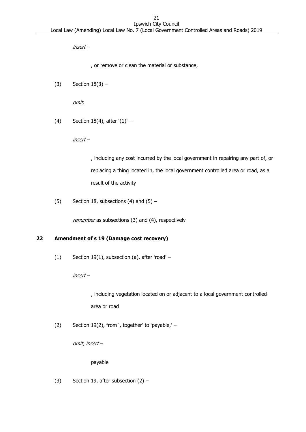insert –

, or remove or clean the material or substance,

(3) Section  $18(3)$  –

omit.

(4) Section 18(4), after  $(1)'$  –

insert –

, including any cost incurred by the local government in repairing any part of, or replacing a thing located in, the local government controlled area or road, as a result of the activity

(5) Section 18, subsections (4) and  $(5)$  –

renumber as subsections (3) and (4), respectively

# <span id="page-22-0"></span>**22 Amendment of s 19 (Damage cost recovery)**

(1) Section 19(1), subsection (a), after 'road' –

insert –

, including vegetation located on or adjacent to a local government controlled area or road

(2) Section 19(2), from ', together' to 'payable,'  $-$ 

omit, insert –

payable

(3) Section 19, after subsection (2) –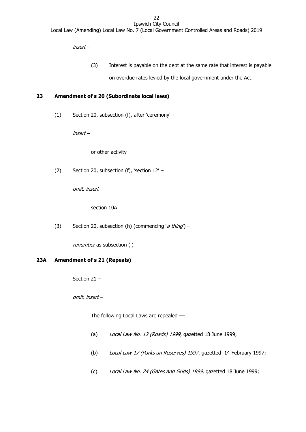insert –

(3) Interest is payable on the debt at the same rate that interest is payable on overdue rates levied by the local government under the Act.

### <span id="page-23-0"></span>**23 Amendment of s 20 (Subordinate local laws)**

(1) Section 20, subsection (f), after 'ceremony' –

insert –

or other activity

(2) Section 20, subsection (f), 'section 12' –

omit, insert –

section 10A

(3) Section 20, subsection (h) (commencing 'a thing') –

renumber as subsection (i)

#### <span id="page-23-1"></span>**23A Amendment of s 21 (Repeals)**

Section 21 –

omit, insert –

The following Local Laws are repealed -

- (a) Local Law No. 12 (Roads) 1999, gazetted 18 June 1999;
- (b) Local Law 17 (Parks an Reserves) 1997, gazetted 14 February 1997;
- (c) Local Law No. 24 (Gates and Grids) 1999, gazetted 18 June 1999;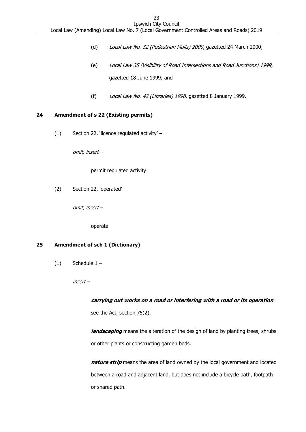- (d) Local Law No. 32 (Pedestrian Malls) 2000, gazetted 24 March 2000;
- (e) Local Law 35 (Visibility of Road Intersections and Road Junctions) 1999, gazetted 18 June 1999; and
- (f) Local Law No. 42 (Libraries) 1998, gazetted 8 January 1999.

#### <span id="page-24-0"></span>**24 Amendment of s 22 (Existing permits)**

(1) Section 22, 'licence regulated activity' –

omit, insert –

permit regulated activity

(2) Section 22, 'operated' –

omit, insert –

operate

#### <span id="page-24-1"></span>**25 Amendment of sch 1 (Dictionary)**

 $(1)$  Schedule  $1 -$ 

insert –

#### **carrying out works on a road or interfering with a road or its operation**

see the Act, section 75(2).

**landscaping** means the alteration of the design of land by planting trees, shrubs or other plants or constructing garden beds.

**nature strip** means the area of land owned by the local government and located between a road and adjacent land, but does not include a bicycle path, footpath or shared path.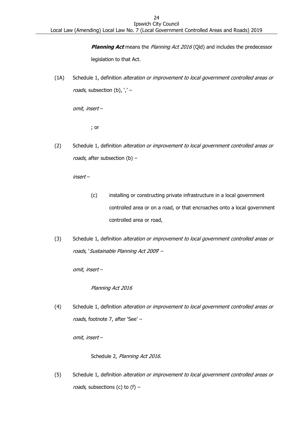**Planning Act** means the Planning Act 2016 (Qld) and includes the predecessor legislation to that Act.

(1A) Schedule 1, definition alteration or improvement to local government controlled areas or roads, subsection (b),  $\prime$  / -

omit, insert –

; or

(2) Schedule 1, definition alteration or improvement to local government controlled areas or roads, after subsection (b) -

insert –

- (c) installing or constructing private infrastructure in a local government controlled area or on a road, or that encroaches onto a local government controlled area or road,
- (3) Schedule 1, definition alteration or improvement to local government controlled areas or roads, 'Sustainable Planning Act 2009' –

omit, insert –

Planning Act 2016

(4) Schedule 1, definition alteration or improvement to local government controlled areas or roads, footnote 7, after 'See' –

omit, insert –

Schedule 2, Planning Act 2016.

(5) Schedule 1, definition alteration or improvement to local government controlled areas or roads, subsections (c) to  $(f)$  –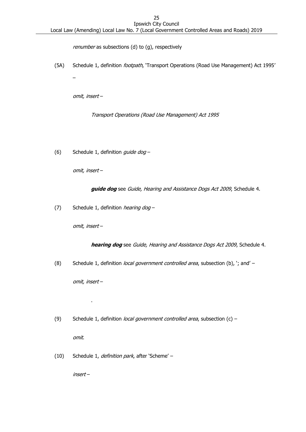renumber as subsections (d) to (g), respectively

(5A) Schedule 1, definition footpath, 'Transport Operations (Road Use Management) Act 1995'

omit, insert –

–

Transport Operations (Road Use Management) Act 1995

(6) Schedule 1, definition guide dog -

omit, insert –

**guide dog** see Guide, Hearing and Assistance Dogs Act 2009, Schedule 4.

(7) Schedule 1, definition *hearing dog*  $-$ 

omit, insert –

**hearing dog** see Guide, Hearing and Assistance Dogs Act 2009, Schedule 4.

(8) Schedule 1, definition *local government controlled area*, subsection (b), '; and'  $-$ 

omit, insert –

.

(9) Schedule 1, definition *local government controlled area*, subsection (c) –

omit.

(10) Schedule 1, definition park, after 'Scheme' -

insert –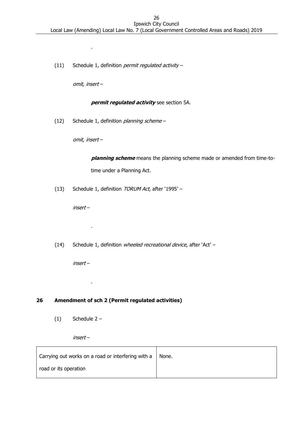(11) Schedule 1, definition *permit regulated activity -*

omit, insert –

.

#### **permit regulated activity** see section 5A.

(12) Schedule 1, definition *planning scheme* –

omit, insert –

**planning scheme** means the planning scheme made or amended from time-totime under a Planning Act.

(13) Schedule 1, definition TORUM Act, after '1995' -

insert –

.

.

(14) Schedule 1, definition wheeled recreational device, after 'Act' –

insert –

# <span id="page-27-0"></span>**26 Amendment of sch 2 (Permit regulated activities)**

 $(1)$  Schedule 2 –

insert –

| Carrying out works on a road or interfering with a | None. |
|----------------------------------------------------|-------|
| road or its operation                              |       |